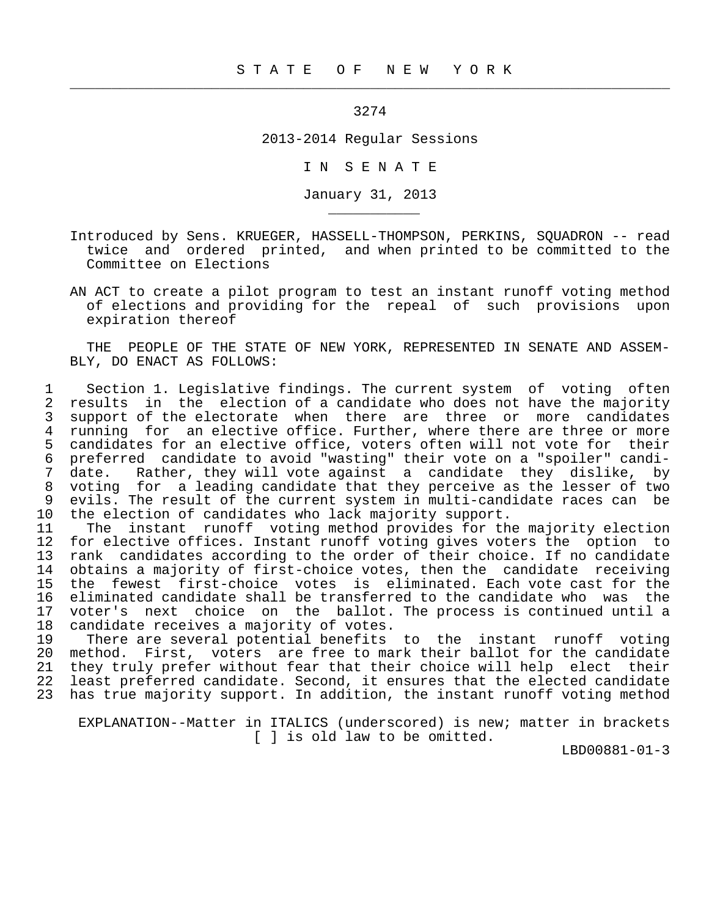3274

 $\frac{1}{2}$  , and the contribution of the contribution of the contribution of the contribution of the contribution of the contribution of the contribution of the contribution of the contribution of the contribution of the c

\_\_\_\_\_\_\_\_\_\_\_

2013-2014 Regular Sessions

I N S E N A T E

January 31, 2013

- Introduced by Sens. KRUEGER, HASSELL-THOMPSON, PERKINS, SQUADRON -- read twice and ordered printed, and when printed to be committed to the Committee on Elections
- AN ACT to create a pilot program to test an instant runoff voting method of elections and providing for the repeal of such provisions upon expiration thereof

 THE PEOPLE OF THE STATE OF NEW YORK, REPRESENTED IN SENATE AND ASSEM- BLY, DO ENACT AS FOLLOWS:

1 Section 1. Legislative findings. The current system of voting often<br>2 results in the election of a candidate who does not have the majority 2 results in the election of a candidate who does not have the majority<br>3 support of the electorate when there are three or more candidates 3 support of the electorate when there are three or more candidates<br>4 running for an elective office. Further, where there are three or more 4 running for an elective office. Further, where there are three or more<br>5 candidates for an elective office, voters often will not vote for their 5 candidates for an elective office, voters often will not vote for their<br>6 preferred candidate to avoid "wasting" their vote on a "spoiler" candi-6 preferred candidate to avoid "wasting" their vote on a "spoiler" candi-<br>7 date. Rather, they will vote against a candidate they dislike, by 7 date. Rather, they will vote against a candidate they dislike, by<br>8 voting for a leading candidate that they perceive as the lesser of two 8 voting for a leading candidate that they perceive as the lesser of two 9 evils. The result of the current system in multi-candidate races can be<br>10 the election of candidates who lack majority support. 10 the election of candidates who lack majority support.<br>11 The instant runoff voting method provides for th

11 The instant runoff voting method provides for the majority election<br>12 for elective offices. Instant runoff voting gives voters the option to 12 for elective offices. Instant runoff voting gives voters the option to<br>13 rank candidates according to the order of their choice. If no candidate 13 rank candidates according to the order of their choice. If no candidate<br>14 obtains a majority of first-choice votes, then the candidate receiving obtains a majority of first-choice votes, then the candidate receiving 15 the fewest first-choice votes is eliminated. Each vote cast for the 16 eliminated candidate shall be transferred to the candidate who was the<br>17 voter's next choice on the ballot. The process is continued until a 17 voter's next choice on the ballot. The process is continued until a<br>18 candidate receives a majority of votes. 18 candidate receives a majority of votes.<br>19 There are several potential benefits

19 There are several potential benefits to the instant runoff voting<br>20 method. First, voters are free to mark their ballot for the candidate 20 method. First, voters are free to mark their ballot for the candidate<br>21 they truly prefer without fear that their choice will help elect their 21 they truly prefer without fear that their choice will help elect their<br>22 least preferred candidate. Second, it ensures that the elected candidate least preferred candidate. Second, it ensures that the elected candidate 23 has true majority support. In addition, the instant runoff voting method

 EXPLANATION--Matter in ITALICS (underscored) is new; matter in brackets [ ] is old law to be omitted.

LBD00881-01-3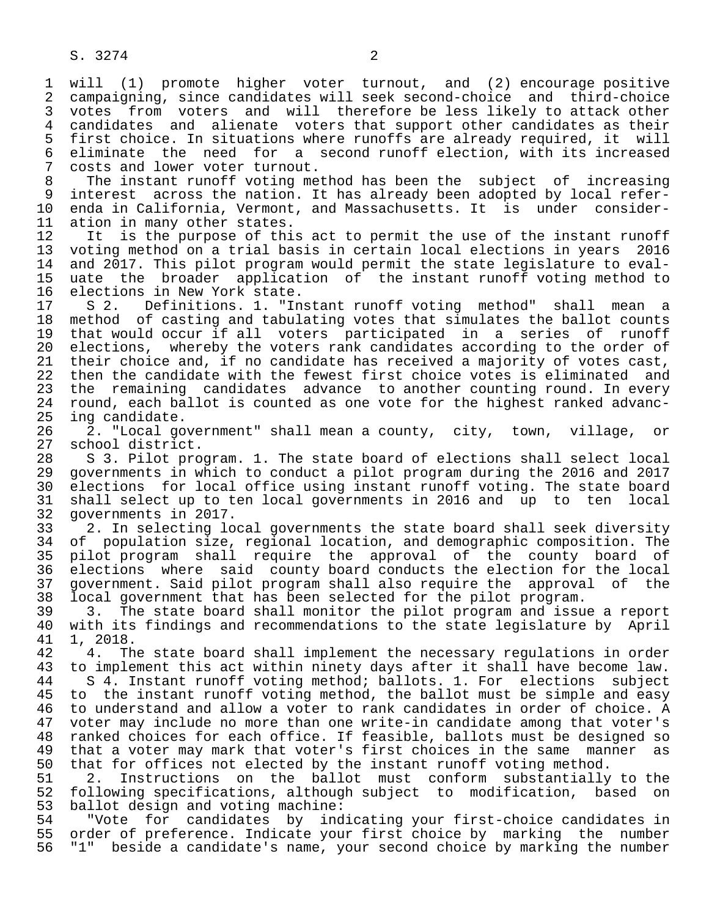1 will (1) promote higher voter turnout, and (2) encourage positive<br>2 campaigning, since candidates will seek second-choice and third-choice 2 campaigning, since candidates will seek second-choice and third-choice<br>3 votes from voters and will therefore be less likely to attack other 3 votes from voters and will therefore be less likely to attack other<br>4 candidates and alienate voters that support other candidates as their 4 candidates and alienate voters that support other candidates as their<br>5 first choice. In situations where runoffs are already required, it will 5 first choice. In situations where runoffs are already required, it will<br>6 eliminate the need for a second runoff election, with its increased 6 eliminate the need for a second runoff election, with its increased<br>7 costs and lower voter turnout. 7 costs and lower voter turnout.<br>8 The instant runoff voting me

8 The instant runoff voting method has been the subject of increasing<br>9 interest across the nation. It has already been adopted by local refer-9 interest across the nation. It has already been adopted by local refer-<br>10 enda in California, Vermont, and Massachusetts. It is under consider-10 enda in California, Vermont, and Massachusetts. It is under consider-<br>11 ation in many other states. 11 ation in many other states.<br>12 It is the purpose of thi

12 It is the purpose of this act to permit the use of the instant runoff<br>13 voting method on a trial basis in certain local elections in years 2016 13 voting method on a trial basis in certain local elections in years 2016<br>14 and 2017. This pilot program would permit the state legislature to evaland 2017. This pilot program would permit the state legislature to eval- 15 uate the broader application of the instant runoff voting method to 16 elections in New York state.<br>17 S 2. Definitions. 1. "In

17 S 2. Definitions. 1. "Instant runoff voting method" shall mean a<br>18 method of casting and tabulating votes that simulates the ballot counts 18 method of casting and tabulating votes that simulates the ballot counts<br>19 that would occur if all voters participated in a series of runoff 19 that would occur if all voters participated in a series of runoff<br>20 elections, whereby the voters rank candidates according to the order of 20 elections, whereby the voters rank candidates according to the order of<br>21 their choice and, if no candidate has received a majority of votes cast, 21 their choice and, if no candidate has received a majority of votes cast,<br>22 then the candidate with the fewest first choice votes is eliminated and 22 then the candidate with the fewest first choice votes is eliminated and<br>23 the remaining candidates advance to another counting round. In every the remaining candidates advance to another counting round. In every 24 round, each ballot is counted as one vote for the highest ranked advanc-<br>25 ing candidate. ing candidate.

 26 2. "Local government" shall mean a county, city, town, village, or 27 school district.<br>28 S 3. Pilot pro

28 S 3. Pilot program. 1. The state board of elections shall select local<br>29 qovernments in which to conduct a pilot program during the 2016 and 2017 29 governments in which to conduct a pilot program during the 2016 and 2017<br>30 elections for local office using instant runoff voting. The state board 30 elections for local office using instant runoff voting. The state board<br>31 shall select up to ten local governments in 2016 and up to ten local 31 shall select up to ten local governments in 2016 and up to ten local 32 governments in 2017.

33 2. In selecting local governments the state board shall seek diversity<br>34 of population size, regional location, and demographic composition. The 34 of population size, regional location, and demographic composition. The<br>35 pilot program shall require the approval of the county board of 35 pilot program shall require the approval of the county board of<br>36 elections where said county board conducts the election for the local 36 elections where said county board conducts the election for the local 37 government. Said pilot program shall also require the approval of the<br>38 local government that has been selected for the pilot program. 38 local government that has been selected for the pilot program.<br>39 3. The state board shall monitor the pilot program and issu

39 3. The state board shall monitor the pilot program and issue a report<br>40 with its findings and recommendations to the state legislature by April 40 with its findings and recommendations to the state legislature by April<br>41 1. 2018. 41 1, 2018.<br>42 4. The

42 4. The state board shall implement the necessary regulations in order<br>43 to implement this act within ninety days after it shall have become law. 43 to implement this act within ninety days after it shall have become law.<br>44 S 4. Instant runoff voting method; ballots. 1. For elections subject

44 S 4. Instant runoff voting method; ballots. 1. For elections subject<br>45 to the instant runoff voting method, the ballot must be simple and easy 45 to the instant runoff voting method, the ballot must be simple and easy 46 to understand and allow a voter to rank candidates in order of choice. A<br>47 voter may include no more than one write-in candidate among that voter's 47 voter may include no more than one write-in candidate among that voter's 48 ranked choices for each office. If feasible, ballots must be designed so<br>49 that a voter may mark that voter's first choices in the same manner as 49 that a voter may mark that voter's first choices in the same manner as<br>50 that for offices not elected by the instant runoff voting method. 50 that for offices not elected by the instant runoff voting method.<br>51 2. Instructions on the ballot must conform substantially

51 2. Instructions on the ballot must conform substantially to the<br>52 following specifications, although subject to modification, based on 52 following specifications, although subject to modification, based on 53 ballot design and voting machine:<br>54 "Vote for candidates by ind

54 "Vote for candidates by indicating your first-choice candidates in<br>55 order of preference. Indicate your first choice by marking the number 55 order of preference. Indicate your first choice by marking the number<br>56 "1" beside a candidate's name, your second choice by marking the number "1" beside a candidate's name, your second choice by marking the number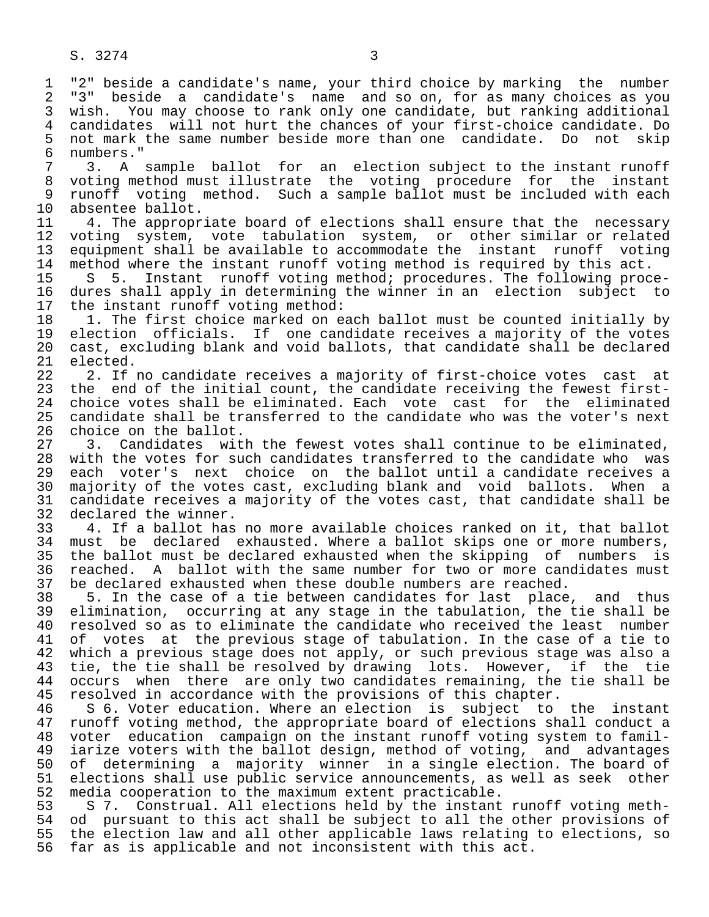1 "2" beside a candidate's name, your third choice by marking the number<br>2 "3" beside a candidate's name and so on, for as many choices as you 2 "3" beside a candidate's name and so on, for as many choices as you<br>3 wish. You may choose to rank only one candidate, but ranking additional 3 wish. You may choose to rank only one candidate, but ranking additional 4 candidates will not hurt the chances of your first-choice candidate. Do<br>5 not mark the same number beside more than one candidate. Do not skip 5 not mark the same number beside more than one candidate. Do not skip 6 numbers."

7 3. A sample ballot for an election subject to the instant runoff<br>8 voting method must illustrate the voting procedure for the instant 8 voting method must illustrate the voting procedure for the instant<br>9 runoff voting method. Such a sample-ballot must be included with each 9 runoff voting method. Such a sample ballot must be included with each<br>10 absentee ballot. 10 absentee ballot.<br>11 4. The appropr

11 4. The appropriate board of elections shall ensure that the necessary<br>12 voting system, vote tabulation system, or other similar or related 12 voting system, vote tabulation system, or other similar or related 13 equipment shall be available to accommodate the instant runoff voting 14 method where the instant runoff voting method is required by this act.<br>15 S 5. Instant runoff voting method; procedures. The following proc

15 S 5. Instant runoff voting method; procedures. The following proce-<br>16 dures shall apply in determining the winner in an election subject to 16 dures shall apply in determining the winner in an election subject to<br>17 the instant runoff voting method: 17 the instant runoff voting method:<br>18 1. The first choice marked on e

18 1. The first choice marked on each ballot must be counted initially by<br>19 election officials. If one candidate receives a majority of the votes 19 election officials. If one candidate receives a majority of the votes<br>20 cast, excluding blank and void ballots, that candidate shall be declared 20 cast, excluding blank and void ballots, that candidate shall be declared  $21$  elected.<br> $22$  2. If

22 2. If no candidate receives a majority of first-choice votes cast at<br>23 the end of the initial count, the candidate receiving the fewest first-23 the end of the initial count, the candidate receiving the fewest first-<br>24 choice votes shall be eliminated. Each vote cast for the eliminated 24 choice votes shall be eliminated. Each vote cast for the eliminated<br>25 candidate shall be transferred to the candidate who was the voter's next candidate shall be transferred to the candidate who was the voter's next

26 choice on the ballot.<br>27 3. Candidates wit 27 3. Candidates with the fewest votes shall continue to be eliminated,<br>28 with the votes for such candidates transferred to the candidate who was 28 with the votes for such candidates transferred to the candidate who was<br>29 each voter's next choice on the ballot until a candidate receives a 29 each voter's next choice on the ballot until a candidate receives a<br>30 majority of the votes cast, excluding blank and void ballots. When a 30 majority of the votes cast, excluding blank and void ballots. When a<br>31 candidate receives a majority of the votes cast, that candidate shall be 31 candidate receives a majority of the votes cast, that candidate shall be 32 declared the winner. 32 declared the winner.<br>33 4. If a ballot has

33 4. If a ballot has no more available choices ranked on it, that ballot<br>34 must be declared exhausted. Where a ballot skips one or more numbers, 34 must be declared exhausted. Where a ballot skips one or more numbers,<br>35 the ballot must be declared exhausted when the skipping of numbers is 35 the ballot must be declared exhausted when the skipping of numbers is<br>36 reached. A ballot with the same number for two or more candidates must 36 reached. A ballot with the same number for two or more candidates must<br>37 be declared exhausted when these double numbers are reached. 37 be declared exhausted when these double numbers are reached.<br>38 5. In the case of a tie between candidates for last place

38 5. In the case of a tie between candidates for last place, and thus<br>39 elimination, occurring at any stage in the tabulation, the tie shall be 39 elimination, occurring at any stage in the tabulation, the tie shall be 40 resolved so as to eliminate the candidate who received the least number<br>41 of votes at the previous stage of tabulation. In the case of a tie to 41 of votes at the previous stage of tabulation. In the case of a tie to<br>42 which a previous stage does not apply, or such previous stage was also a 42 which a previous stage does not apply, or such previous stage was also a<br>43 tie, the tie shall be resolved by drawing lots. However, if the tie 43 tie, the tie shall be resolved by drawing lots. However, if the tie<br>44 occurs when there are only two candidates remaining, the tie shall be 44 occurs when there are only two candidates remaining, the tie shall be 45 resolved in accordance with the provisions of this chapter. 45 resolved in accordance with the provisions of this chapter.<br>46 S 6. Voter education. Where an election is subject to

46 S 6. Voter education. Where an election is subject to the instant<br>47 runoff voting method, the appropriate board of elections shall conduct a 47 runoff voting method, the appropriate board of elections shall conduct a<br>48 voter education campaign on the instant runoff voting system to famil- 48 voter education campaign on the instant runoff voting system to famil- 49 iarize voters with the ballot design, method of voting, and advantages<br>50 of determining a majority winner in a single election. The board of 50 of determining a majority winner in a single election. The board of<br>51 elections shall use public service announcements, as well as seek other 51 elections shall use public service announcements, as well as seek other<br>52 media cooperation to the maximum extent practicable. 52 media cooperation to the maximum extent practicable.<br>53 57. Construal. All elections held by the instant

53 S 7. Construal. All elections held by the instant runoff voting meth-<br>54 od pursuant to this act shall be subject to all the other provisions of 54 od pursuant to this act shall be subject to all the other provisions of<br>55 the election law and all other applicable laws relating to elections, so 55 the election law and all other applicable laws relating to elections, so<br>56 far as is applicable and not inconsistent with this act. far as is applicable and not inconsistent with this act.